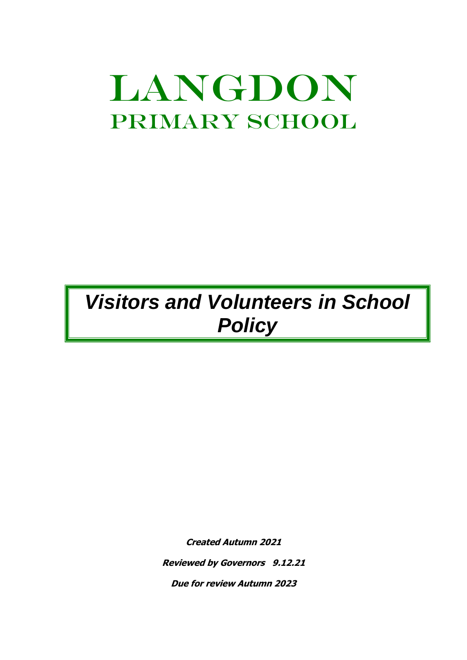# LANGDON PRIMARY SCHOOL

*Visitors and Volunteers in School Policy*

**Created Autumn 2021**

**Reviewed by Governors 9.12.21**

**Due for review Autumn 2023**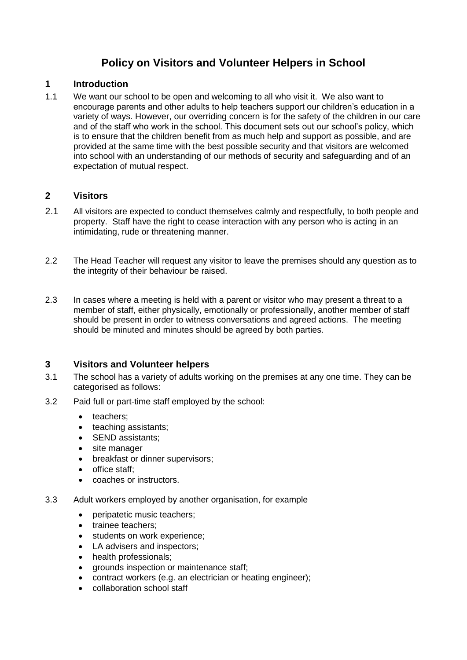## **Policy on Visitors and Volunteer Helpers in School**

#### **1 Introduction**

1.1 We want our school to be open and welcoming to all who visit it. We also want to encourage parents and other adults to help teachers support our children's education in a variety of ways. However, our overriding concern is for the safety of the children in our care and of the staff who work in the school. This document sets out our school's policy, which is to ensure that the children benefit from as much help and support as possible, and are provided at the same time with the best possible security and that visitors are welcomed into school with an understanding of our methods of security and safeguarding and of an expectation of mutual respect.

#### **2 Visitors**

- 2.1 All visitors are expected to conduct themselves calmly and respectfully, to both people and property. Staff have the right to cease interaction with any person who is acting in an intimidating, rude or threatening manner.
- 2.2 The Head Teacher will request any visitor to leave the premises should any question as to the integrity of their behaviour be raised.
- 2.3 In cases where a meeting is held with a parent or visitor who may present a threat to a member of staff, either physically, emotionally or professionally, another member of staff should be present in order to witness conversations and agreed actions. The meeting should be minuted and minutes should be agreed by both parties.

#### **3 Visitors and Volunteer helpers**

- 3.1 The school has a variety of adults working on the premises at any one time. They can be categorised as follows:
- 3.2 Paid full or part-time staff employed by the school:
	- teachers:
	- teaching assistants;
	- SEND assistants:
	- site manager
	- breakfast or dinner supervisors;
	- office staff;
	- coaches or instructors.
- 3.3 Adult workers employed by another organisation, for example
	- peripatetic music teachers;
	- trainee teachers:
	- students on work experience;
	- LA advisers and inspectors;
	- health professionals;
	- grounds inspection or maintenance staff;
	- contract workers (e.g. an electrician or heating engineer);
	- collaboration school staff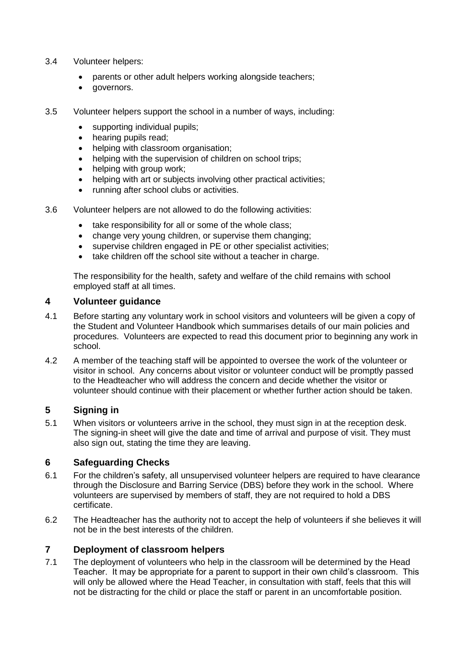- 3.4 Volunteer helpers:
	- parents or other adult helpers working alongside teachers;
	- governors.
- 3.5 Volunteer helpers support the school in a number of ways, including:
	- supporting individual pupils;
	- hearing pupils read;
	- helping with classroom organisation;
	- helping with the supervision of children on school trips;
	- helping with group work;
	- helping with art or subjects involving other practical activities;
	- running after school clubs or activities.
- 3.6 Volunteer helpers are not allowed to do the following activities:
	- take responsibility for all or some of the whole class;
	- change very young children, or supervise them changing;
	- supervise children engaged in PE or other specialist activities:
	- take children off the school site without a teacher in charge.

The responsibility for the health, safety and welfare of the child remains with school employed staff at all times.

#### **4 Volunteer guidance**

- 4.1 Before starting any voluntary work in school visitors and volunteers will be given a copy of the Student and Volunteer Handbook which summarises details of our main policies and procedures. Volunteers are expected to read this document prior to beginning any work in school.
- 4.2 A member of the teaching staff will be appointed to oversee the work of the volunteer or visitor in school. Any concerns about visitor or volunteer conduct will be promptly passed to the Headteacher who will address the concern and decide whether the visitor or volunteer should continue with their placement or whether further action should be taken.

#### **5 Signing in**

5.1 When visitors or volunteers arrive in the school, they must sign in at the reception desk. The signing-in sheet will give the date and time of arrival and purpose of visit. They must also sign out, stating the time they are leaving.

#### **6 Safeguarding Checks**

- 6.1 For the children's safety, all unsupervised volunteer helpers are required to have clearance through the Disclosure and Barring Service (DBS) before they work in the school. Where volunteers are supervised by members of staff, they are not required to hold a DBS certificate.
- 6.2 The Headteacher has the authority not to accept the help of volunteers if she believes it will not be in the best interests of the children.

#### **7 Deployment of classroom helpers**

7.1 The deployment of volunteers who help in the classroom will be determined by the Head Teacher. It may be appropriate for a parent to support in their own child's classroom. This will only be allowed where the Head Teacher, in consultation with staff, feels that this will not be distracting for the child or place the staff or parent in an uncomfortable position.